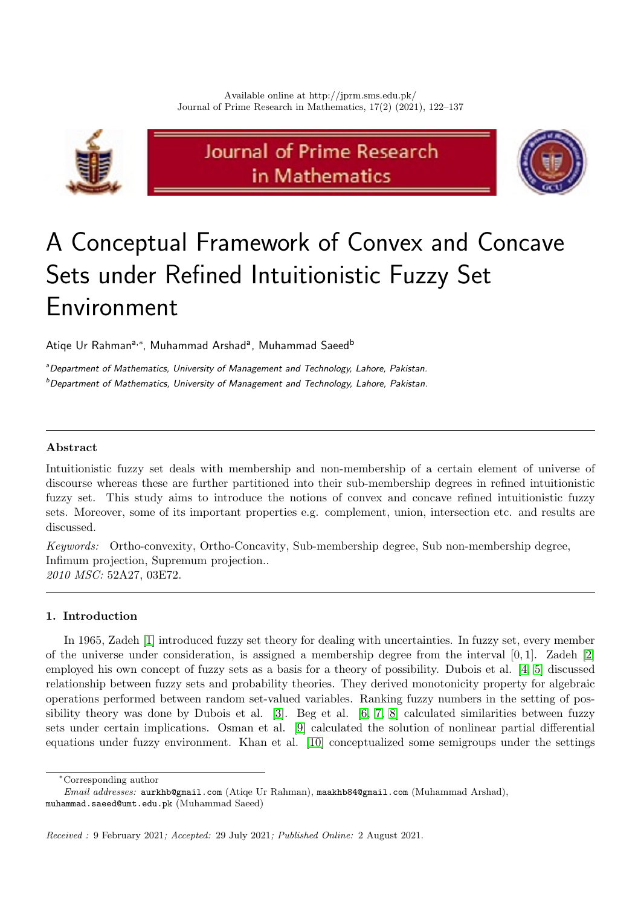

# Journal of Prime Research in Mathematics



# A Conceptual Framework of Convex and Concave Sets under Refined Intuitionistic Fuzzy Set Environment

Atiqe Ur Rahman<sup>a,∗</sup>, Muhammad Arshad<sup>a</sup>, Muhammad Saeed<sup>b</sup>

<sup>a</sup>Department of Mathematics, University of Management and Technology, Lahore, Pakistan.  $b$ Department of Mathematics, University of Management and Technology, Lahore, Pakistan.

## Abstract

Intuitionistic fuzzy set deals with membership and non-membership of a certain element of universe of discourse whereas these are further partitioned into their sub-membership degrees in refined intuitionistic fuzzy set. This study aims to introduce the notions of convex and concave refined intuitionistic fuzzy sets. Moreover, some of its important properties e.g. complement, union, intersection etc. and results are discussed.

Keywords: Ortho-convexity, Ortho-Concavity, Sub-membership degree, Sub non-membership degree, Infimum projection, Supremum projection.. 2010 MSC: 52A27, 03E72.

### 1. Introduction

In 1965, Zadeh [\[1\]](#page-14-0) introduced fuzzy set theory for dealing with uncertainties. In fuzzy set, every member of the universe under consideration, is assigned a membership degree from the interval [0, 1]. Zadeh [\[2\]](#page-14-1) employed his own concept of fuzzy sets as a basis for a theory of possibility. Dubois et al. [\[4,](#page-14-2) [5\]](#page-14-3) discussed relationship between fuzzy sets and probability theories. They derived monotonicity property for algebraic operations performed between random set-valued variables. Ranking fuzzy numbers in the setting of possibility theory was done by Dubois et al. [\[3\]](#page-14-4). Beg et al. [\[6,](#page-14-5) [7,](#page-14-6) [8\]](#page-14-7) calculated similarities between fuzzy sets under certain implications. Osman et al. [\[9\]](#page-14-8) calculated the solution of nonlinear partial differential equations under fuzzy environment. Khan et al. [\[10\]](#page-14-9) conceptualized some semigroups under the settings

<sup>∗</sup>Corresponding author

Email addresses: aurkhb@gmail.com (Atiqe Ur Rahman), maakhb84@gmail.com (Muhammad Arshad), muhammad.saeed@umt.edu.pk (Muhammad Saeed)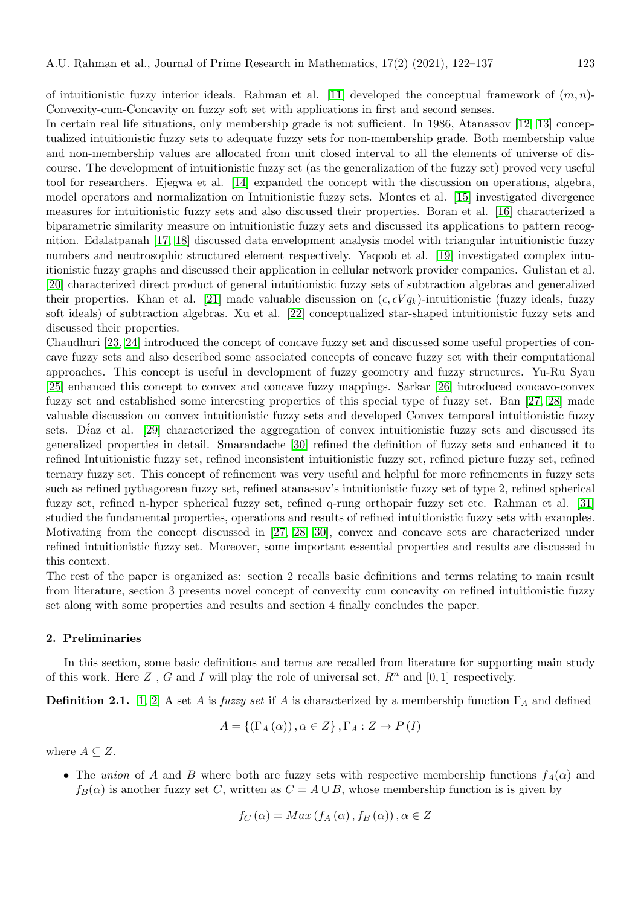of intuitionistic fuzzy interior ideals. Rahman et al. [\[11\]](#page-14-10) developed the conceptual framework of  $(m, n)$ -Convexity-cum-Concavity on fuzzy soft set with applications in first and second senses.

In certain real life situations, only membership grade is not sufficient. In 1986, Atanassov [\[12,](#page-14-11) [13\]](#page-14-12) conceptualized intuitionistic fuzzy sets to adequate fuzzy sets for non-membership grade. Both membership value and non-membership values are allocated from unit closed interval to all the elements of universe of discourse. The development of intuitionistic fuzzy set (as the generalization of the fuzzy set) proved very useful tool for researchers. Ejegwa et al. [\[14\]](#page-15-0) expanded the concept with the discussion on operations, algebra, model operators and normalization on Intuitionistic fuzzy sets. Montes et al. [\[15\]](#page-15-1) investigated divergence measures for intuitionistic fuzzy sets and also discussed their properties. Boran et al. [\[16\]](#page-15-2) characterized a biparametric similarity measure on intuitionistic fuzzy sets and discussed its applications to pattern recognition. Edalatpanah [\[17,](#page-15-3) [18\]](#page-15-4) discussed data envelopment analysis model with triangular intuitionistic fuzzy numbers and neutrosophic structured element respectively. Yaqoob et al. [\[19\]](#page-15-5) investigated complex intuitionistic fuzzy graphs and discussed their application in cellular network provider companies. Gulistan et al. [\[20\]](#page-15-6) characterized direct product of general intuitionistic fuzzy sets of subtraction algebras and generalized their properties. Khan et al. [\[21\]](#page-15-7) made valuable discussion on  $(\epsilon, \epsilon V q_k)$ -intuitionistic (fuzzy ideals, fuzzy soft ideals) of subtraction algebras. Xu et al. [\[22\]](#page-15-8) conceptualized star-shaped intuitionistic fuzzy sets and discussed their properties.

Chaudhuri [\[23,](#page-15-9) [24\]](#page-15-10) introduced the concept of concave fuzzy set and discussed some useful properties of concave fuzzy sets and also described some associated concepts of concave fuzzy set with their computational approaches. This concept is useful in development of fuzzy geometry and fuzzy structures. Yu-Ru Syau [\[25\]](#page-15-11) enhanced this concept to convex and concave fuzzy mappings. Sarkar [\[26\]](#page-15-12) introduced concavo-convex fuzzy set and established some interesting properties of this special type of fuzzy set. Ban [\[27,](#page-15-13) [28\]](#page-15-14) made valuable discussion on convex intuitionistic fuzzy sets and developed Convex temporal intuitionistic fuzzy sets. D'az et al. [\[29\]](#page-15-15) characterized the aggregation of convex intuitionistic fuzzy sets and discussed its generalized properties in detail. Smarandache [\[30\]](#page-15-16) refined the definition of fuzzy sets and enhanced it to refined Intuitionistic fuzzy set, refined inconsistent intuitionistic fuzzy set, refined picture fuzzy set, refined ternary fuzzy set. This concept of refinement was very useful and helpful for more refinements in fuzzy sets such as refined pythagorean fuzzy set, refined atanassov's intuitionistic fuzzy set of type 2, refined spherical fuzzy set, refined n-hyper spherical fuzzy set, refined q-rung orthopair fuzzy set etc. Rahman et al. [\[31\]](#page-15-17) studied the fundamental properties, operations and results of refined intuitionistic fuzzy sets with examples. Motivating from the concept discussed in [\[27,](#page-15-13) [28,](#page-15-14) [30\]](#page-15-16), convex and concave sets are characterized under refined intuitionistic fuzzy set. Moreover, some important essential properties and results are discussed in this context.

The rest of the paper is organized as: section 2 recalls basic definitions and terms relating to main result from literature, section 3 presents novel concept of convexity cum concavity on refined intuitionistic fuzzy set along with some properties and results and section 4 finally concludes the paper.

#### 2. Preliminaries

In this section, some basic definitions and terms are recalled from literature for supporting main study of this work. Here Z, G and I will play the role of universal set,  $R^n$  and [0, 1] respectively.

**Definition 2.1.** [\[1,](#page-14-0) [2\]](#page-14-1) A set A is fuzzy set if A is characterized by a membership function  $\Gamma_A$  and defined

$$
A = \{ (\Gamma_A(\alpha)), \alpha \in Z \}, \Gamma_A : Z \to P(I)
$$

where  $A \subseteq Z$ .

• The union of A and B where both are fuzzy sets with respective membership functions  $f_A(\alpha)$  and  $f_B(\alpha)$  is another fuzzy set C, written as  $C = A \cup B$ , whose membership function is is given by

$$
f_C(\alpha) = Max (f_A(\alpha), f_B(\alpha)), \alpha \in Z
$$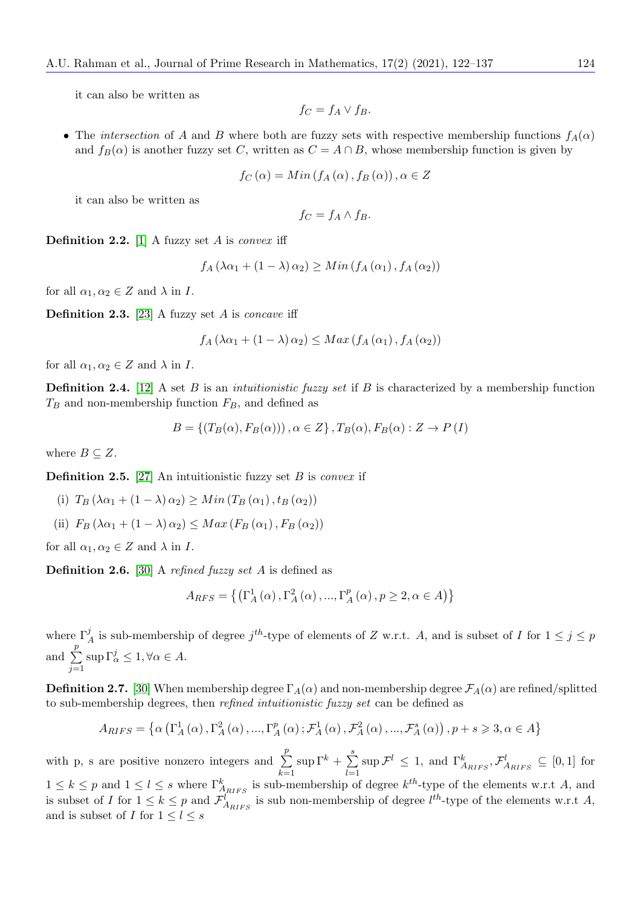it can also be written as

$$
f_C = f_A \vee f_B.
$$

• The intersection of A and B where both are fuzzy sets with respective membership functions  $f_A(\alpha)$ and  $f_B(\alpha)$  is another fuzzy set C, written as  $C = A \cap B$ , whose membership function is given by

$$
f_C(\alpha) = Min(f_A(\alpha), f_B(\alpha)), \alpha \in Z
$$

it can also be written as

$$
f_C = f_A \wedge f_B.
$$

**Definition 2.2.** [\[1\]](#page-14-0) A fuzzy set  $A$  is *convex* iff

$$
f_A(\lambda \alpha_1 + (1 - \lambda) \alpha_2) \geq Min(f_A(\alpha_1), f_A(\alpha_2))
$$

for all  $\alpha_1, \alpha_2 \in Z$  and  $\lambda$  in I.

**Definition 2.3.** [\[23\]](#page-15-9) A fuzzy set A is *concave* iff

$$
f_A\left(\lambda\alpha_1 + \left(1 - \lambda\right)\alpha_2\right) \le Max\left(f_A\left(\alpha_1\right), f_A\left(\alpha_2\right)\right)
$$

for all  $\alpha_1, \alpha_2 \in Z$  and  $\lambda$  in I.

**Definition 2.4.** [\[12\]](#page-14-11) A set B is an *intuitionistic fuzzy set* if B is characterized by a membership function  $T_B$  and non-membership function  $F_B$ , and defined as

$$
B = \{ (T_B(\alpha), F_B(\alpha)) \}, \alpha \in Z \}, T_B(\alpha), F_B(\alpha) : Z \to P(I)
$$

where  $B \subseteq Z$ .

**Definition 2.5.** [\[27\]](#page-15-13) An intuitionistic fuzzy set B is *convex* if

- (i)  $T_B(\lambda \alpha_1 + (1 \lambda) \alpha_2) \geq Min(T_B(\alpha_1), t_B(\alpha_2))$
- (ii)  $F_B(\lambda \alpha_1 + (1 \lambda) \alpha_2) \leq Max(F_B(\alpha_1), F_B(\alpha_2))$

for all  $\alpha_1, \alpha_2 \in Z$  and  $\lambda$  in I.

**Definition 2.6.** [\[30\]](#page-15-16) A refined fuzzy set A is defined as

$$
A_{RFS} = \left\{ \left( \Gamma_A^1 \left( \alpha \right), \Gamma_A^2 \left( \alpha \right), \dots, \Gamma_A^p \left( \alpha \right), p \ge 2, \alpha \in A \right) \right\}
$$

where  $\Gamma_A^j$  is sub-membership of degree  $j^{th}$ -type of elements of Z w.r.t. A, and is subset of I for  $1 \leq j \leq p$ and  $\Sigma$ p  $j=1$  $\sup \Gamma_\alpha^j \leq 1, \forall \alpha \in A.$ 

**Definition 2.7.** [\[30\]](#page-15-16) When membership degree  $\Gamma_A(\alpha)$  and non-membership degree  $\mathcal{F}_A(\alpha)$  are refined/splitted to sub-membership degrees, then refined intuitionistic fuzzy set can be defined as

$$
A_{RIFS} = \left\{ \alpha \left( \Gamma_A^1(\alpha), \Gamma_A^2(\alpha), \dots, \Gamma_A^p(\alpha); \mathcal{F}_A^1(\alpha), \mathcal{F}_A^2(\alpha), \dots, \mathcal{F}_A^s(\alpha) \right), p+s \geqslant 3, \alpha \in A \right\}
$$

with p, s are positive nonzero integers and  $\Sigma$ p  $_{k=1}$  $\sup \Gamma^k + \sum^s$  $_{l=1}$  $\sup \mathcal{F}^l \leq 1$ , and  $\Gamma^k_{A_{RIFS}}, \mathcal{F}^l_{A_{RIFS}} \subseteq [0,1]$  for  $1 \leq k \leq p$  and  $1 \leq l \leq s$  where  $\Gamma^k_{A_{RIFS}}$  is sub-membership of degree  $k^{th}$ -type of the elements w.r.t A, and is subset of I for  $1 \leq k \leq p$  and  $\mathcal{F}_{A_{RIFS}}^l$  is sub non-membership of degree  $l^{th}$ -type of the elements w.r.t A, and is subset of I for  $1 \leq l \leq s$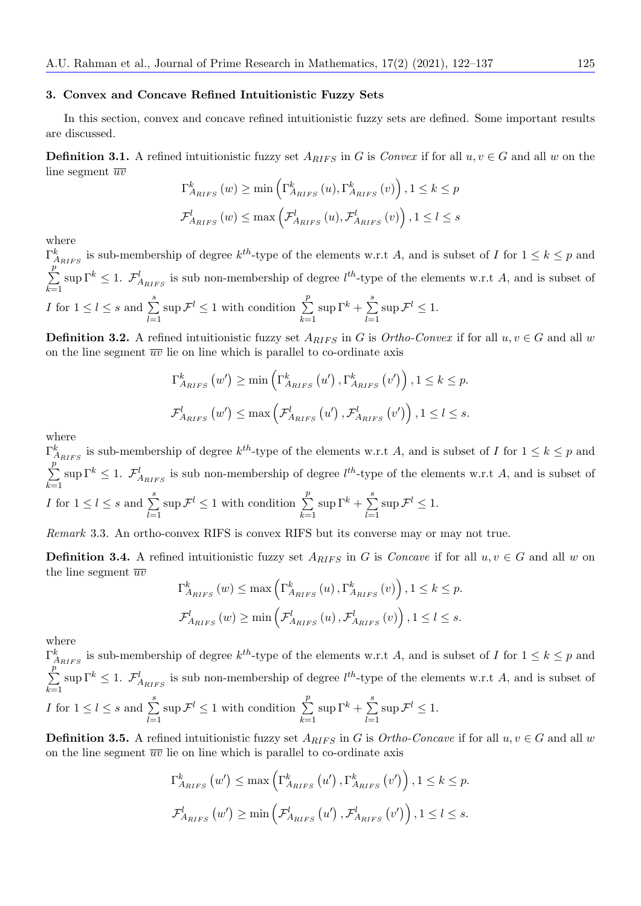#### 3. Convex and Concave Refined Intuitionistic Fuzzy Sets

In this section, convex and concave refined intuitionistic fuzzy sets are defined. Some important results are discussed.

**Definition 3.1.** A refined intuitionistic fuzzy set  $A_{RIFS}$  in G is Convex if for all  $u, v \in G$  and all w on the line segment  $\overline{uv}$  $k_{\parallel}$ 

$$
\Gamma_{A_{RIFS}}^{k}(w) \ge \min\left(\Gamma_{A_{RIFS}}^{k}(u), \Gamma_{A_{RIFS}}^{k}(v)\right), 1 \le k \le p
$$
  

$$
\mathcal{F}_{A_{RIFS}}^{l}(w) \le \max\left(\mathcal{F}_{A_{RIFS}}^{l}(u), \mathcal{F}_{A_{RIFS}}^{l}(v)\right), 1 \le l \le s
$$

where

 $\Gamma^k_{A_{RIFS}}$  is sub-membership of degree  $k^{th}$ -type of the elements w.r.t A, and is subset of I for  $1 \leq k \leq p$  and  $\sum$ p  $k=1$  $\sup \Gamma^k \leq 1$ .  $\mathcal{F}_{A_{RIFS}}^l$  is sub non-membership of degree  $l^{th}$ -type of the elements w.r.t A, and is subset of *I* for  $1 \leq l \leq s$  and  $\sum_{i=1}^{s}$  $_{l=1}$  $\sup \mathcal{F}^l \leq 1$  with condition  $\sum_{i=1}^p$  $k=1$  $\sup \Gamma^k + \sum^s$  $l=1$  $\sup \mathcal{F}^l \leq 1.$ 

**Definition 3.2.** A refined intuitionistic fuzzy set  $A_{RIFS}$  in G is  $Ortho-Convex$  if for all  $u, v \in G$  and all w on the line segment  $\overline{uv}$  lie on line which is parallel to co-ordinate axis

$$
\Gamma_{A_{RIFS}}^{k}(w') \ge \min\left(\Gamma_{A_{RIFS}}^{k}(u'), \Gamma_{A_{RIFS}}^{k}(v')\right), 1 \le k \le p.
$$
  

$$
\mathcal{F}_{A_{RIFS}}^{l}(w') \le \max\left(\mathcal{F}_{A_{RIFS}}^{l}(u'), \mathcal{F}_{A_{RIFS}}^{l}(v')\right), 1 \le l \le s.
$$

where

 $\Gamma^k_{A_{RIFS}}$  is sub-membership of degree  $k^{th}$ -type of the elements w.r.t A, and is subset of I for  $1 \leq k \leq p$  and  $\sum$ p  $k=1$  $\sup \Gamma^k \leq 1$ .  $\mathcal{F}_{A_{RIFS}}^l$  is sub non-membership of degree  $l^{th}$ -type of the elements w.r.t A, and is subset of *I* for  $1 \leq l \leq s$  and  $\sum_{i=1}^{s}$  $_{l=1}$  $\sup \mathcal{F}^l \leq 1$  with condition  $\sum_{i=1}^p$  $k=1$  $\sup \Gamma^k + \sum^s$  $l=1$  $\sup \mathcal{F}^l \leq 1.$ 

Remark 3.3. An ortho-convex RIFS is convex RIFS but its converse may or may not true.

**Definition 3.4.** A refined intuitionistic fuzzy set  $A_{RIFS}$  in G is Concave if for all  $u, v \in G$  and all w on the line segment  $\overline{uv}$ 

$$
\Gamma_{A_{RIFS}}^{k}(w) \le \max\left(\Gamma_{A_{RIFS}}^{k}(u), \Gamma_{A_{RIFS}}^{k}(v)\right), 1 \le k \le p.
$$
  

$$
\mathcal{F}_{A_{RIFS}}^{l}(w) \ge \min\left(\mathcal{F}_{A_{RIFS}}^{l}(u), \mathcal{F}_{A_{RIFS}}^{l}(v)\right), 1 \le l \le s.
$$

where

 $\Gamma^k_{A_{RIFS}}$  is sub-membership of degree  $k^{th}$ -type of the elements w.r.t A, and is subset of I for  $1 \leq k \leq p$  and  $\sum$ p  $k=1$  $\sup \Gamma^k \leq 1$ .  $\mathcal{F}_{A_{RIFS}}^l$  is sub non-membership of degree  $l^{th}$ -type of the elements w.r.t A, and is subset of *I* for  $1 \leq l \leq s$  and  $\sum_{i=1}^{s}$  $_{l=1}$  $\sup \mathcal{F}^l \leq 1$  with condition  $\sum_{i=1}^p$  $k=1$  $\sup \Gamma^k + \sum^s$  $l=1$  $\sup \mathcal{F}^l \leq 1.$ 

**Definition 3.5.** A refined intuitionistic fuzzy set  $A_{RIFS}$  in G is Ortho-Concave if for all  $u, v \in G$  and all w on the line segment  $\overline{uv}$  lie on line which is parallel to co-ordinate axis

$$
\Gamma_{A_{RIFS}}^{k}(w') \le \max\left(\Gamma_{A_{RIFS}}^{k}(u'), \Gamma_{A_{RIFS}}^{k}(v')\right), 1 \le k \le p.
$$
  

$$
\mathcal{F}_{A_{RIFS}}^{l}(w') \ge \min\left(\mathcal{F}_{A_{RIFS}}^{l}(u'), \mathcal{F}_{A_{RIFS}}^{l}(v')\right), 1 \le l \le s.
$$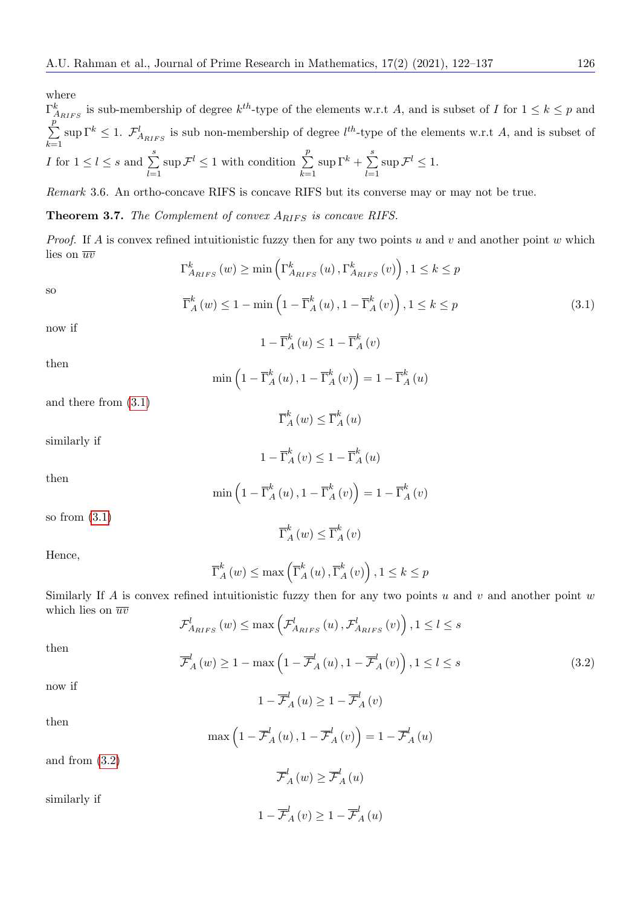where

 $\Gamma^k_{A_{RIFS}}$  is sub-membership of degree  $k^{th}$ -type of the elements w.r.t A, and is subset of I for  $1 \leq k \leq p$  and  $\sum$ p  $k=1$  $\sup \Gamma^k \leq 1$ .  $\mathcal{F}_{A_{RIFS}}^l$  is sub non-membership of degree  $l^{th}$ -type of the elements w.r.t A, and is subset of *I* for  $1 \leq l \leq s$  and  $\sum_{i=1}^{s}$  $_{l=1}$  $\sup \mathcal{F}^l \leq 1$  with condition  $\sum_{i=1}^p$  $k=1$  $\sup \Gamma^k + \sum^s$  $l=1$  $\sup \mathcal{F}^l \leq 1.$ 

Remark 3.6. An ortho-concave RIFS is concave RIFS but its converse may or may not be true.

**Theorem 3.7.** The Complement of convex  $A_{RIFS}$  is concave RIFS.

*Proof.* If A is convex refined intuitionistic fuzzy then for any two points u and v and another point w which lies on  $\overline{uv}$ 

<span id="page-4-0"></span>
$$
\Gamma_{A_{RIFS}}^{k}(w) \ge \min\left(\Gamma_{A_{RIFS}}^{k}(u), \Gamma_{A_{RIFS}}^{k}(v)\right), 1 \le k \le p
$$
  

$$
\overline{\Gamma}_{A}^{k}(w) \le 1 - \min\left(1 - \overline{\Gamma}_{A}^{k}(u), 1 - \overline{\Gamma}_{A}^{k}(v)\right), 1 \le k \le p
$$
 (3.1)

now if

so

$$
1 - \overline{\Gamma}_{A}^{k}(u) \le 1 - \overline{\Gamma}_{A}^{k}(v)
$$

then

$$
\min\left(1-\overline{\Gamma}_{A}^{k}\left(u\right),1-\overline{\Gamma}_{A}^{k}\left(v\right)\right)=1-\overline{\Gamma}_{A}^{k}\left(u\right)
$$

and there from [\(3.1\)](#page-4-0)

$$
\overline{\Gamma}_{A}^{k}\left(w\right) \leq \overline{\Gamma}_{A}^{k}\left(u\right)
$$

similarly if

$$
1 - \overline{\Gamma}_{A}^{k}(v) \le 1 - \overline{\Gamma}_{A}^{k}(u)
$$

then

$$
\min\left(1-\overline{\Gamma}_{A}^{k}\left(u\right),1-\overline{\Gamma}_{A}^{k}\left(v\right)\right)=1-\overline{\Gamma}_{A}^{k}\left(v\right)
$$

so from  $(3.1)$ 

Hence,

$$
\overline{\Gamma}_A^k(w) \le \max\left(\overline{\Gamma}_A^k(u), \overline{\Gamma}_A^k(v)\right), 1 \le k \le p
$$

 $\overline{\Gamma}_A^k(w) \leq \overline{\Gamma}_A^k(v)$ 

Similarly If A is convex refined intuitionistic fuzzy then for any two points u and v and another point w which lies on  $\overline{uv}$ 

$$
\mathcal{F}_{A_{RIFS}}^{l}(w) \le \max\left(\mathcal{F}_{A_{RIFS}}^{l}(u), \mathcal{F}_{A_{RIFS}}^{l}(v)\right), 1 \le l \le s
$$

then

<span id="page-4-1"></span>
$$
\overline{\mathcal{F}}_{A}^{l}(w) \ge 1 - \max\left(1 - \overline{\mathcal{F}}_{A}^{l}(u), 1 - \overline{\mathcal{F}}_{A}^{l}(v)\right), 1 \le l \le s \tag{3.2}
$$

now if

$$
1 - \overline{\mathcal{F}}_{A}^{l}(u) \ge 1 - \overline{\mathcal{F}}_{A}^{l}(v)
$$

then

$$
\max\left(1-\overline{\mathcal{F}}_{A}^{l}\left(u\right),1-\overline{\mathcal{F}}_{A}^{l}\left(v\right)\right)=1-\overline{\mathcal{F}}_{A}^{l}\left(u\right)
$$

and from [\(3.2\)](#page-4-1)

similarly if

 $\overline{\mathcal{F}}_{A}^{l}\left (w\right ) \geq \overline{\mathcal{F}}_{A}^{l}\left (u\right )$  $1 - \overline{\mathcal{F}}_A^l(v) \geq 1 - \overline{\mathcal{F}}_A^l(u)$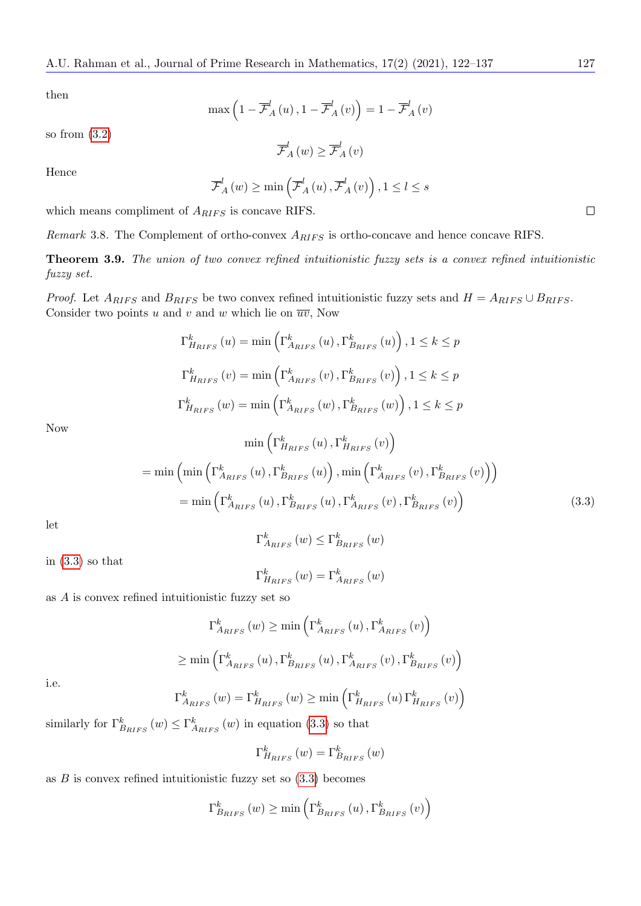then

$$
\max\left(1-\overline{\mathcal{F}}_{A}^{l}\left(u\right),1-\overline{\mathcal{F}}_{A}^{l}\left(v\right)\right)=1-\overline{\mathcal{F}}_{A}^{l}\left(v\right)
$$

so from [\(3.2\)](#page-4-1)

$$
\overline{\mathcal{F}}_{A}^{l}(w) \geq \overline{\mathcal{F}}_{A}^{l}(v)
$$

Hence

$$
\overline{\mathcal{F}}_{A}^{l}(w) \ge \min\left(\overline{\mathcal{F}}_{A}^{l}(u), \overline{\mathcal{F}}_{A}^{l}(v)\right), 1 \le l \le s
$$

which means compliment of  $A_{RIFS}$  is concave RIFS.

Remark 3.8. The Complement of ortho-convex  $A_{RIFS}$  is ortho-concave and hence concave RIFS.

Theorem 3.9. The union of two convex refined intuitionistic fuzzy sets is a convex refined intuitionistic fuzzy set.

*Proof.* Let  $A_{RIFS}$  and  $B_{RIFS}$  be two convex refined intuitionistic fuzzy sets and  $H = A_{RIFS} \cup B_{RIFS}$ . Consider two points u and v and w which lie on  $\overline{uv}$ , Now

$$
\Gamma_{H_{RIFS}}^{k}(u) = \min\left(\Gamma_{A_{RIFS}}^{k}(u), \Gamma_{B_{RIFS}}^{k}(u)\right), 1 \le k \le p
$$
\n
$$
\Gamma_{H_{RIFS}}^{k}(v) = \min\left(\Gamma_{A_{RIFS}}^{k}(v), \Gamma_{B_{RIFS}}^{k}(v)\right), 1 \le k \le p
$$
\n
$$
\Gamma_{H_{RIFS}}^{k}(w) = \min\left(\Gamma_{A_{RIFS}}^{k}(w), \Gamma_{B_{RIFS}}^{k}(w)\right), 1 \le k \le p
$$
\n
$$
\min\left(\Gamma_{H_{RIFS}}^{k}(u), \Gamma_{H_{RIFS}}^{k}(v)\right)
$$

Now

<span id="page-5-0"></span>
$$
\min\left(\mathbf{L}_{H_{RIFS}}(u), \mathbf{L}_{H_{RIFS}}(v)\right)
$$
\n
$$
= \min\left(\min\left(\Gamma_{A_{RIFS}}^k(u), \Gamma_{B_{RIFS}}^k(u)\right), \min\left(\Gamma_{A_{RIFS}}^k(v), \Gamma_{B_{RIFS}}^k(v)\right)\right)
$$
\n
$$
= \min\left(\Gamma_{A_{RIFS}}^k(u), \Gamma_{B_{RIFS}}^k(u), \Gamma_{A_{RIFS}}^k(v), \Gamma_{B_{RIFS}}^k(v)\right) \tag{3.3}
$$

let

$$
\Gamma_{A_{RIFS}}^{k}(w) \leq \Gamma_{B_{RIFS}}^{k}(w)
$$

in  $(3.3)$  so that

$$
\Gamma_{H_{RIFS}}^{k}(w) = \Gamma_{A_{RIFS}}^{k}(w)
$$

as A is convex refined intuitionistic fuzzy set so

$$
\Gamma_{A_{RIFS}}^{k}(w) \ge \min\left(\Gamma_{A_{RIFS}}^{k}(u), \Gamma_{A_{RIFS}}^{k}(v)\right)
$$

$$
\ge \min\left(\Gamma_{A_{RIFS}}^{k}(u), \Gamma_{B_{RIFS}}^{k}(u), \Gamma_{A_{RIFS}}^{k}(v), \Gamma_{B_{RIFS}}^{k}(v)\right)
$$

i.e.

$$
\Gamma_{A_{RIFS}}^{k}(w) = \Gamma_{H_{RIFS}}^{k}(w) \ge \min\left(\Gamma_{H_{RIFS}}^{k}(u)\Gamma_{H_{RIFS}}^{k}(v)\right)
$$

similarly for  $\Gamma^k_{B_{RIFS}}(w) \leq \Gamma^k_{A_{RIFS}}(w)$  in equation [\(3.3\)](#page-5-0) so that

$$
\Gamma _{H_{RIFS}}^{k}\left( w\right) =\Gamma _{B_{RIFS}}^{k}\left( w\right)
$$

as  $B$  is convex refined intuitionistic fuzzy set so  $(3.3)$  becomes

$$
\Gamma_{B_{RIFS}}^{k}\left(w\right) \geq \min\left(\Gamma_{B_{RIFS}}^{k}\left(u\right),\Gamma_{B_{RIFS}}^{k}\left(v\right)\right)
$$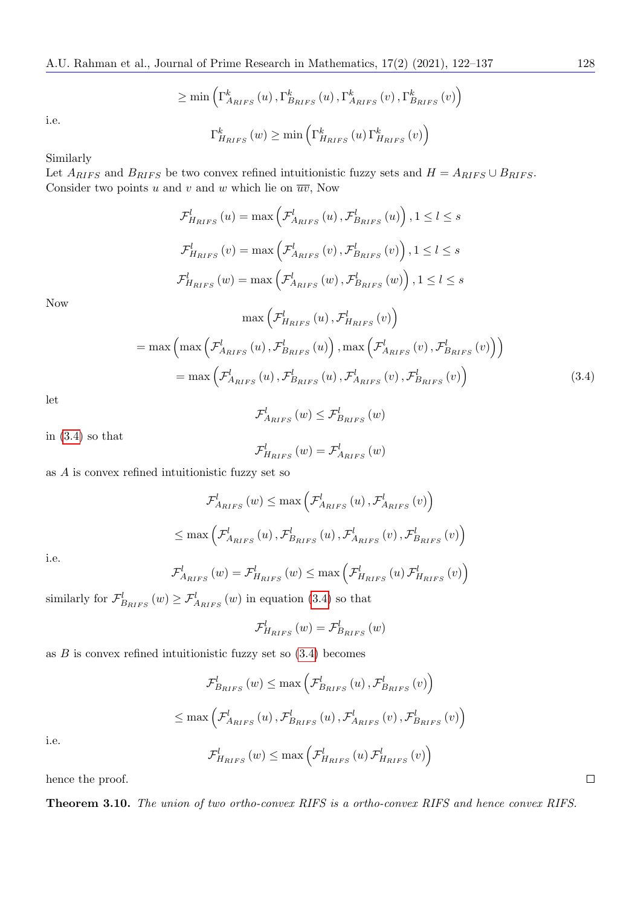$$
\geq \min\left(\Gamma_{A_{RIFS}}^{k}\left(u\right),\Gamma_{B_{RIFS}}^{k}\left(u\right),\Gamma_{A_{RIFS}}^{k}\left(v\right),\Gamma_{B_{RIFS}}^{k}\left(v\right)\right)
$$

$$
\Gamma_{H_{RIFS}}^{k}\left(w\right) \geq \min\left(\Gamma_{H_{RIFS}}^{k}\left(u\right)\Gamma_{H_{RIFS}}^{k}\left(v\right)\right)
$$

i.e.

$$
\Gamma _{H_{RIFS}}^{k}\left( w\right) \geq\min\left( \Gamma_{H_{RIFS}}^{k}\left( u\right) \Gamma_{H_{RIFS}}^{k}\left( v\right) \right)
$$

Similarly

Let  $A_{RIFS}$  and  $B_{RIFS}$  be two convex refined intuitionistic fuzzy sets and  $H = A_{RIFS} \cup B_{RIFS}$ . Consider two points u and v and w which lie on  $\overline{uv}$ , Now

$$
\mathcal{F}_{H_{RIFS}}^{l}(u) = \max\left(\mathcal{F}_{A_{RIFS}}^{l}(u), \mathcal{F}_{B_{RIFS}}^{l}(u)\right), 1 \leq l \leq s
$$
\n
$$
\mathcal{F}_{H_{RIFS}}^{l}(v) = \max\left(\mathcal{F}_{A_{RIFS}}^{l}(v), \mathcal{F}_{B_{RIFS}}^{l}(v)\right), 1 \leq l \leq s
$$
\n
$$
\mathcal{F}_{H_{RIFS}}^{l}(w) = \max\left(\mathcal{F}_{A_{RIFS}}^{l}(w), \mathcal{F}_{B_{RIFS}}^{l}(w)\right), 1 \leq l \leq s
$$
\n
$$
\max\left(\mathcal{F}_{H_{RIFS}}^{l}(u), \mathcal{F}_{H_{RIFS}}^{l}(v)\right)
$$
\n
$$
= \max\left(\max\left(\mathcal{F}_{A_{RIFS}}^{l}(u), \mathcal{F}_{B_{RIFS}}^{l}(u)\right), \max\left(\mathcal{F}_{A_{RIFS}}^{l}(v), \mathcal{F}_{B_{RIFS}}^{l}(v)\right)\right)
$$
\n
$$
= \max\left(\mathcal{F}_{A_{RIFS}}^{l}(u), \mathcal{F}_{B_{RIFS}}^{l}(u), \mathcal{F}_{A_{RIFS}}^{l}(v), \mathcal{F}_{B_{RIFS}}^{l}(v)\right) \tag{3.4}
$$

let

Now

<span id="page-6-0"></span>
$$
\mathcal{F}_{A_{RIFS}}^{l}(w) \leq \mathcal{F}_{B_{RIFS}}^{l}(w)
$$

in [\(3.4\)](#page-6-0) so that

$$
\mathcal{F}_{H_{RIFS}}^{l}\left(w\right)=\mathcal{F}_{A_{RIFS}}^{l}\left(w\right)
$$

as A is convex refined intuitionistic fuzzy set so

$$
\mathcal{F}_{A_{RIFS}}^{l}(w) \le \max\left(\mathcal{F}_{A_{RIFS}}^{l}(u), \mathcal{F}_{A_{RIFS}}^{l}(v)\right)
$$

$$
\le \max\left(\mathcal{F}_{A_{RIFS}}^{l}(u), \mathcal{F}_{B_{RIFS}}^{l}(u), \mathcal{F}_{A_{RIFS}}^{l}(v), \mathcal{F}_{B_{RIFS}}^{l}(v)\right)
$$

i.e.

$$
\mathcal{F}_{A_{RIFS}}^{l}\left(w\right) = \mathcal{F}_{H_{RIFS}}^{l}\left(w\right) \leq \max\left(\mathcal{F}_{H_{RIFS}}^{l}\left(u\right)\mathcal{F}_{H_{RIFS}}^{l}\left(v\right)\right)
$$

similarly for  $\mathcal{F}_{B_{RIFS}}^l(w) \geq \mathcal{F}_{A_{RIFS}}^l(w)$  in equation [\(3.4\)](#page-6-0) so that

$$
\mathcal{F}_{H_{RIFS}}^{l}(w) = \mathcal{F}_{B_{RIFS}}^{l}(w)
$$

as  $B$  is convex refined intuitionistic fuzzy set so  $(3.4)$  becomes

$$
\mathcal{F}_{B_{RIFS}}^{l}(w) \le \max\left(\mathcal{F}_{B_{RIFS}}^{l}(u), \mathcal{F}_{B_{RIFS}}^{l}(v)\right)
$$
  

$$
\le \max\left(\mathcal{F}_{A_{RIFS}}^{l}(u), \mathcal{F}_{B_{RIFS}}^{l}(u), \mathcal{F}_{A_{RIFS}}^{l}(v), \mathcal{F}_{B_{RIFS}}^{l}(v)\right)
$$
  

$$
\mathcal{F}_{H_{RIFS}}^{l}(w) \le \max\left(\mathcal{F}_{H_{RIFS}}^{l}(u), \mathcal{F}_{H_{RIFS}}^{l}(v)\right)
$$

i.e.

hence the proof.

Theorem 3.10. The union of two ortho-convex RIFS is a ortho-convex RIFS and hence convex RIFS.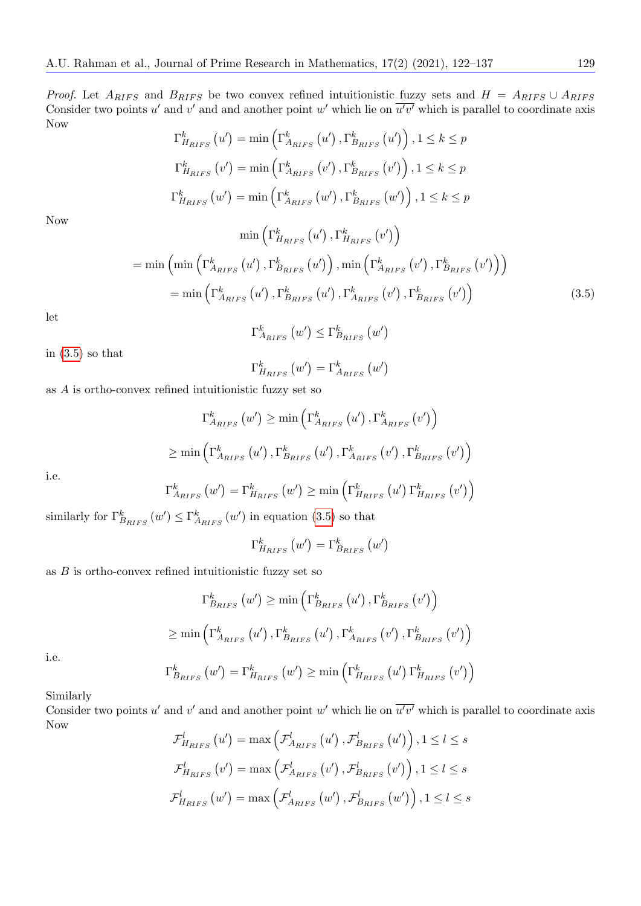*Proof.* Let  $A_{RIFS}$  and  $B_{RIFS}$  be two convex refined intuitionistic fuzzy sets and  $H = A_{RIFS} \cup A_{RIFS}$ Consider two points u' and v' and and another point w' which lie on  $\overline{u'v'}$  which is parallel to coordinate axis Now

$$
\Gamma_{H_{RIFS}}^{k}(u') = \min\left(\Gamma_{A_{RIFS}}^{k}(u'), \Gamma_{B_{RIFS}}^{k}(u')\right), 1 \leq k \leq p
$$
  

$$
\Gamma_{H_{RIFS}}^{k}(v') = \min\left(\Gamma_{A_{RIFS}}^{k}(v'), \Gamma_{B_{RIFS}}^{k}(v')\right), 1 \leq k \leq p
$$
  

$$
\Gamma_{H_{RIFS}}^{k}(w') = \min\left(\Gamma_{A_{RIFS}}^{k}(w'), \Gamma_{B_{RIFS}}^{k}(w')\right), 1 \leq k \leq p
$$

Now

<span id="page-7-0"></span>
$$
\min\left(\Gamma_{H_{RIFS}}^k\left(u'\right),\Gamma_{H_{RIFS}}^k\left(v'\right)\right)
$$
\n
$$
= \min\left(\min\left(\Gamma_{A_{RIFS}}^k\left(u'\right),\Gamma_{B_{RIFS}}^k\left(u'\right)\right),\min\left(\Gamma_{A_{RIFS}}^k\left(v'\right),\Gamma_{B_{RIFS}}^k\left(v'\right)\right)\right)
$$
\n
$$
= \min\left(\Gamma_{A_{RIFS}}^k\left(u'\right),\Gamma_{B_{RIFS}}^k\left(u'\right),\Gamma_{A_{RIFS}}^k\left(v'\right),\Gamma_{B_{RIFS}}^k\left(v'\right)\right)\right) \tag{3.5}
$$

let

$$
\Gamma_{A_{RIFS}}^{k}\left(w'\right) \leq \Gamma_{B_{RIFS}}^{k}\left(w'\right)
$$

in  $(3.5)$  so that

$$
\Gamma_{H_{RIFS}}^{k}\left(w^{\prime}\right)=\Gamma_{A_{RIFS}}^{k}\left(w^{\prime}\right)
$$

as A is ortho-convex refined intuitionistic fuzzy set so

$$
\Gamma_{A_{RIFS}}^{k}(w') \ge \min\left(\Gamma_{A_{RIFS}}^{k}(u'), \Gamma_{A_{RIFS}}^{k}(v')\right)
$$

$$
\ge \min\left(\Gamma_{A_{RIFS}}^{k}(u'), \Gamma_{B_{RIFS}}^{k}(u'), \Gamma_{A_{RIFS}}^{k}(v'), \Gamma_{B_{RIFS}}^{k}(v')\right)
$$

i.e.

$$
\Gamma_{A_{RIFS}}^{k}\left(w^{\prime}\right)=\Gamma_{H_{RIFS}}^{k}\left(w^{\prime}\right)\geq\min\left(\Gamma_{H_{RIFS}}^{k}\left(u^{\prime}\right)\Gamma_{H_{RIFS}}^{k}\left(v^{\prime}\right)\right)
$$

similarly for  $\Gamma^k_{B_{RIFS}}(w') \leq \Gamma^k_{A_{RIFS}}(w')$  in equation [\(3.5\)](#page-7-0) so that

$$
\Gamma_{H_{RIFS}}^k(w') = \Gamma_{B_{RIFS}}^k(w')
$$

as  $B$  is ortho-convex refined intuitionistic fuzzy set so

$$
\Gamma_{B_{RIFS}}^{k}(w') \ge \min\left(\Gamma_{B_{RIFS}}^{k}(u'), \Gamma_{B_{RIFS}}^{k}(v')\right)
$$

$$
\ge \min\left(\Gamma_{A_{RIFS}}^{k}(u'), \Gamma_{B_{RIFS}}^{k}(u'), \Gamma_{A_{RIFS}}^{k}(v'), \Gamma_{B_{RIFS}}^{k}(v')\right)
$$

i.e.

$$
\Gamma_{B_{RIFS}}^{k}(w') = \Gamma_{H_{RIFS}}^{k}(w') \ge \min\left(\Gamma_{H_{RIFS}}^{k}(u')\Gamma_{H_{RIFS}}^{k}(v')\right)
$$

Similarly

Consider two points u' and v' and and another point w' which lie on  $\overline{u'v'}$  which is parallel to coordinate axis Now

$$
\mathcal{F}_{H_{RIFS}}^{l}(u') = \max\left(\mathcal{F}_{A_{RIFS}}^{l}(u'), \mathcal{F}_{B_{RIFS}}^{l}(u')\right), 1 \le l \le s
$$
  

$$
\mathcal{F}_{H_{RIFS}}^{l}(v') = \max\left(\mathcal{F}_{A_{RIFS}}^{l}(v'), \mathcal{F}_{B_{RIFS}}^{l}(v')\right), 1 \le l \le s
$$
  

$$
\mathcal{F}_{H_{RIFS}}^{l}(w') = \max\left(\mathcal{F}_{A_{RIFS}}^{l}(w'), \mathcal{F}_{B_{RIFS}}^{l}(w')\right), 1 \le l \le s
$$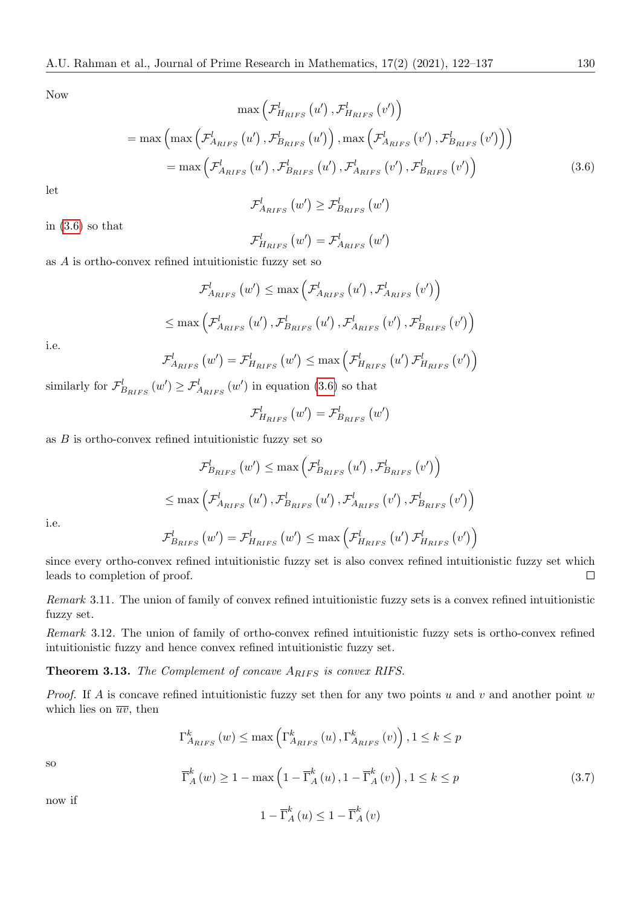Now

<span id="page-8-0"></span>
$$
\max\left(\mathcal{F}_{H_{RIFS}}^{l}\left(u'\right),\mathcal{F}_{H_{RIFS}}^{l}\left(v'\right)\right)
$$
\n
$$
= \max\left(\max\left(\mathcal{F}_{A_{RIFS}}^{l}\left(u'\right),\mathcal{F}_{B_{RIFS}}^{l}\left(u'\right)\right),\max\left(\mathcal{F}_{A_{RIFS}}^{l}\left(v'\right),\mathcal{F}_{B_{RIFS}}^{l}\left(v'\right)\right)\right)
$$
\n
$$
= \max\left(\mathcal{F}_{A_{RIFS}}^{l}\left(u'\right),\mathcal{F}_{B_{RIFS}}^{l}\left(u'\right),\mathcal{F}_{A_{RIFS}}^{l}\left(v'\right),\mathcal{F}_{B_{RIFS}}^{l}\left(v'\right)\right)
$$
\n(3.6)

let

$$
\mathcal{F}_{A_{RIFS}}^{l} (w') \geq \mathcal{F}_{B_{RIFS}}^{l} (w')
$$

in  $(3.6)$  so that

$$
\mathcal{F}_{H_{RIFS}}^{l}\left (w'\right )=\mathcal{F}_{A_{RIFS}}^{l}\left (w'\right )
$$

as A is ortho-convex refined intuitionistic fuzzy set so

$$
\mathcal{F}_{A_{RIFS}}^{l}(w') \leq \max\left(\mathcal{F}_{A_{RIFS}}^{l}(u'), \mathcal{F}_{A_{RIFS}}^{l}(v')\right)
$$
  

$$
\leq \max\left(\mathcal{F}_{A_{RIFS}}^{l}(u'), \mathcal{F}_{B_{RIFS}}^{l}(u'), \mathcal{F}_{A_{RIFS}}^{l}(v'), \mathcal{F}_{B_{RIFS}}^{l}(v')\right)
$$

i.e.

$$
\mathcal{F}_{A_{RIFS}}^{l}(w') = \mathcal{F}_{H_{RIFS}}^{l}(w') \le \max\left(\mathcal{F}_{H_{RIFS}}^{l}(u')\mathcal{F}_{H_{RIFS}}^{l}(v')\right)
$$

similarly for  $\mathcal{F}_{B_{RIFS}}^l(w') \geq \mathcal{F}_{A_{RIFS}}^l(w')$  in equation [\(3.6\)](#page-8-0) so that

$$
\mathcal{F}_{H_{RIFS}}^{l}\left(w^{\prime}\right)=\mathcal{F}_{B_{RIFS}}^{l}\left(w^{\prime}\right)
$$

as  $B$  is ortho-convex refined intuitionistic fuzzy set so

$$
\mathcal{F}_{B_{RIFS}}^{l}(w') \leq \max\left(\mathcal{F}_{B_{RIFS}}^{l}(u'), \mathcal{F}_{B_{RIFS}}^{l}(v')\right)
$$
  

$$
\leq \max\left(\mathcal{F}_{A_{RIFS}}^{l}(u'), \mathcal{F}_{B_{RIFS}}^{l}(u'), \mathcal{F}_{A_{RIFS}}^{l}(v'), \mathcal{F}_{B_{RIFS}}^{l}(v')\right)
$$

i.e.

$$
\mathcal{F}_{B_{RIFS}}^{l}\left(w^{\prime}\right)=\mathcal{F}_{H_{RIFS}}^{l}\left(w^{\prime}\right)\leq\max\left(\mathcal{F}_{H_{RIFS}}^{l}\left(u^{\prime}\right)\mathcal{F}_{H_{RIFS}}^{l}\left(v^{\prime}\right)\right)
$$

since every ortho-convex refined intuitionistic fuzzy set is also convex refined intuitionistic fuzzy set which leads to completion of proof.  $\Box$ 

Remark 3.11. The union of family of convex refined intuitionistic fuzzy sets is a convex refined intuitionistic fuzzy set.

Remark 3.12. The union of family of ortho-convex refined intuitionistic fuzzy sets is ortho-convex refined intuitionistic fuzzy and hence convex refined intuitionistic fuzzy set.

**Theorem 3.13.** The Complement of concave  $A_{RIFS}$  is convex RIFS.

*Proof.* If A is concave refined intuitionistic fuzzy set then for any two points u and v and another point w which lies on  $\overline{uv}$ , then

$$
\Gamma_{A_{RIFS}}^{k}(w) \le \max\left(\Gamma_{A_{RIFS}}^{k}(u), \Gamma_{A_{RIFS}}^{k}(v)\right), 1 \le k \le p
$$

so

<span id="page-8-1"></span>
$$
\overline{\Gamma}_{A}^{k}(w) \ge 1 - \max\left(1 - \overline{\Gamma}_{A}^{k}(u), 1 - \overline{\Gamma}_{A}^{k}(v)\right), 1 \le k \le p \tag{3.7}
$$

now if

$$
1 - \overline{\Gamma}_{A}^{k}(u) \le 1 - \overline{\Gamma}_{A}^{k}(v)
$$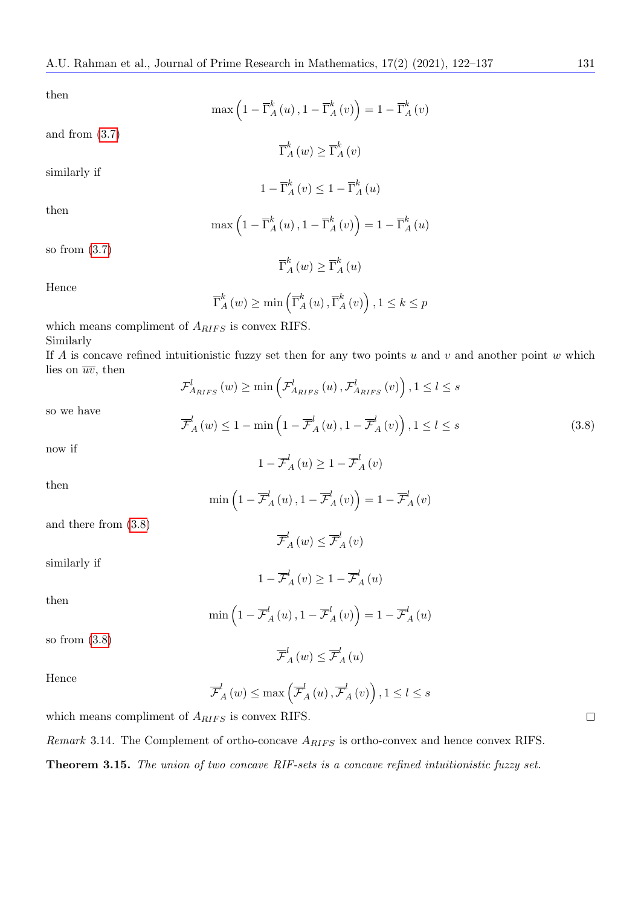then

$$
\max\left(1 - \overline{\Gamma}_{A}^{k}(u), 1 - \overline{\Gamma}_{A}^{k}(v)\right) = 1 - \overline{\Gamma}_{A}^{k}(v)
$$

$$
\overline{\Gamma}_{A}^{k}(w) \ge \overline{\Gamma}_{A}^{k}(v)
$$

$$
1 - \overline{\Gamma}_{A}^{k}(v) \le 1 - \overline{\Gamma}_{A}^{k}(u)
$$

then

$$
\max\left(1-\overline{\Gamma}_{A}^{k}\left(u\right),1-\overline{\Gamma}_{A}^{k}\left(v\right)\right)=1-\overline{\Gamma}_{A}^{k}\left(u\right)
$$

so from [\(3.7\)](#page-8-1)

and from [\(3.7\)](#page-8-1)

similarly if

## $\overline{\Gamma}_A^k(w) \geq \overline{\Gamma}_A^k(u)$

Hence

$$
\overline{\Gamma}_{A}^{k}(w) \ge \min\left(\overline{\Gamma}_{A}^{k}(u), \overline{\Gamma}_{A}^{k}(v)\right), 1 \le k \le p
$$

which means compliment of  $A_{RIFS}$  is convex RIFS. Similarly

If A is concave refined intuitionistic fuzzy set then for any two points  $u$  and  $v$  and another point  $w$  which lies on  $\overline{uv}$ , then

$$
\mathcal{F}_{A_{RIFS}}^{l}\left(w\right) \geq \min\left(\mathcal{F}_{A_{RIFS}}^{l}\left(u\right),\mathcal{F}_{A_{RIFS}}^{l}\left(v\right)\right), 1 \leq l \leq s
$$

so we have

<span id="page-9-0"></span>
$$
\overline{\mathcal{F}}_{A}^{l}(w) \le 1 - \min\left(1 - \overline{\mathcal{F}}_{A}^{l}(u), 1 - \overline{\mathcal{F}}_{A}^{l}(v)\right), 1 \le l \le s \tag{3.8}
$$

now if

then

$$
\min\left(1-\overline{\mathcal{F}}_{A}^{l}\left(u\right),1-\overline{\mathcal{F}}_{A}^{l}\left(v\right)\right)=1-\overline{\mathcal{F}}_{A}^{l}\left(v\right)
$$

 $\overline{\mathcal{F}}_{A}^{l}(w) \leq \overline{\mathcal{F}}_{A}^{l}(v)$ 

 $1 - \overline{\mathcal{F}}_A^l(u) \geq 1 - \overline{\mathcal{F}}_A^l(v)$ 

and there from [\(3.8\)](#page-9-0)

similarly if

$$
1 - \overline{\mathcal{F}}_{A}^{l}(v) \ge 1 - \overline{\mathcal{F}}_{A}^{l}(u)
$$

then

$$
\min\left(1-\overline{\mathcal{F}}_{A}^{l}\left(u\right),1-\overline{\mathcal{F}}_{A}^{l}\left(v\right)\right)=1-\overline{\mathcal{F}}_{A}^{l}\left(u\right)
$$

 $\overline{\mathcal{F}}_{A}^{l}\left (w\right ) \leq \overline{\mathcal{F}}_{A}^{l}\left (u\right )$ 

so from [\(3.8\)](#page-9-0)

Hence

$$
\overline{\mathcal{F}}_{A}^{l}\left(w\right) \leq \max \left(\overline{\mathcal{F}}_{A}^{l}\left(u\right), \overline{\mathcal{F}}_{A}^{l}\left(v\right)\right), 1 \leq l \leq s
$$

which means compliment of  $A_{RIFS}$  is convex RIFS.

Remark 3.14. The Complement of ortho-concave  $A_{RIFS}$  is ortho-convex and hence convex RIFS. Theorem 3.15. The union of two concave RIF-sets is a concave refined intuitionistic fuzzy set.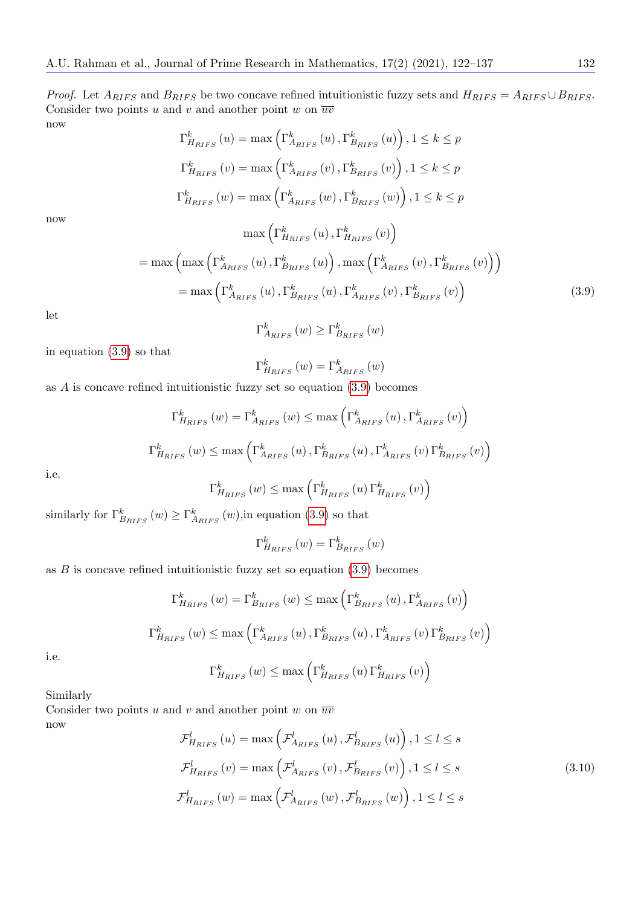*Proof.* Let  $A_{RIFS}$  and  $B_{RIFS}$  be two concave refined intuitionistic fuzzy sets and  $H_{RIFS} = A_{RIFS} \cup B_{RIFS}$ . Consider two points u and v and another point w on  $\overline{uv}$ now

$$
\Gamma_{H_{RIFS}}^{k}(u) = \max\left(\Gamma_{A_{RIFS}}^{k}(u), \Gamma_{B_{RIFS}}^{k}(u)\right), 1 \le k \le p
$$
  

$$
\Gamma_{H_{RIFS}}^{k}(v) = \max\left(\Gamma_{A_{RIFS}}^{k}(v), \Gamma_{B_{RIFS}}^{k}(v)\right), 1 \le k \le p
$$
  

$$
\Gamma_{H_{RIFS}}^{k}(w) = \max\left(\Gamma_{A_{RIFS}}^{k}(w), \Gamma_{B_{RIFS}}^{k}(w)\right), 1 \le k \le p
$$
  

$$
\max\left(\Gamma_{H_{RIFS}}^{k}(u), \Gamma_{H_{RIFS}}^{k}(v)\right)
$$

now

<span id="page-10-0"></span>
$$
= \max \left( \max \left( \Gamma_{A_{RIFS}}^k(u), \Gamma_{B_{RIFS}}^k(u) \right), \max \left( \Gamma_{A_{RIFS}}^k(v), \Gamma_{B_{RIFS}}^k(v) \right) \right)
$$

$$
= \max \left( \Gamma_{A_{RIFS}}^k(u), \Gamma_{B_{RIFS}}^k(u), \Gamma_{A_{RIFS}}^k(v), \Gamma_{B_{RIFS}}^k(v) \right)
$$
(3.9)

let

$$
\Gamma_{A_{RIFS}}^{k}(w) \ge \Gamma_{B_{RIFS}}^{k}(w)
$$

in equation [\(3.9\)](#page-10-0) so that

$$
\Gamma _{H_{RIFS}}^{k}\left( w\right) =\Gamma _{A_{RIFS}}^{k}\left( w\right)
$$

as A is concave refined intuitionistic fuzzy set so equation [\(3.9\)](#page-10-0) becomes

$$
\Gamma_{H_{RIFS}}^{k}(w) = \Gamma_{A_{RIFS}}^{k}(w) \le \max\left(\Gamma_{A_{RIFS}}^{k}(u), \Gamma_{A_{RIFS}}^{k}(v)\right)
$$
  

$$
\Gamma_{H_{RIFS}}^{k}(w) \le \max\left(\Gamma_{A_{RIFS}}^{k}(u), \Gamma_{B_{RIFS}}^{k}(u), \Gamma_{A_{RIFS}}^{k}(v)\Gamma_{B_{RIFS}}^{k}(v)\right)
$$

i.e.

$$
\Gamma_{H_{RIFS}}^{k}\left(w\right) \leq \max\left(\Gamma_{H_{RIFS}}^{k}\left(u\right)\Gamma_{H_{RIFS}}^{k}\left(v\right)\right)
$$

similarly for  $\Gamma^k_{B_{RIFS}}(w) \geq \Gamma^k_{A_{RIFS}}(w)$ , in equation [\(3.9\)](#page-10-0) so that

$$
\Gamma_{H_{RIFS}}^{k}(w) = \Gamma_{B_{RIFS}}^{k}(w)
$$

as  $B$  is concave refined intuitionistic fuzzy set so equation  $(3.9)$  becomes

$$
\Gamma_{H_{RIFS}}^{k}(w) = \Gamma_{B_{RIFS}}^{k}(w) \le \max\left(\Gamma_{B_{RIFS}}^{k}(u), \Gamma_{A_{RIFS}}^{k}(v)\right)
$$

$$
\Gamma_{H_{RIFS}}^{k}(w) \le \max\left(\Gamma_{A_{RIFS}}^{k}(u), \Gamma_{B_{RIFS}}^{k}(u), \Gamma_{A_{RIFS}}^{k}(v)\Gamma_{B_{RIFS}}^{k}(v)\right)
$$

i.e.

$$
\Gamma_{H_{RIFS}}^{k}(w) \le \max\left(\Gamma_{H_{RIFS}}^{k}(u)\Gamma_{H_{RIFS}}^{k}(v)\right)
$$

Similarly

Consider two points u and v and another point w on  $\overline{uv}$ now

<span id="page-10-1"></span>
$$
\mathcal{F}_{H_{RIFS}}^{l}(u) = \max\left(\mathcal{F}_{A_{RIFS}}^{l}(u), \mathcal{F}_{B_{RIFS}}^{l}(u)\right), 1 \le l \le s
$$
\n
$$
\mathcal{F}_{H_{RIFS}}^{l}(v) = \max\left(\mathcal{F}_{A_{RIFS}}^{l}(v), \mathcal{F}_{B_{RIFS}}^{l}(v)\right), 1 \le l \le s
$$
\n
$$
\mathcal{F}_{H_{RIFS}}^{l}(w) = \max\left(\mathcal{F}_{A_{RIFS}}^{l}(w), \mathcal{F}_{B_{RIFS}}^{l}(w)\right), 1 \le l \le s
$$
\n(3.10)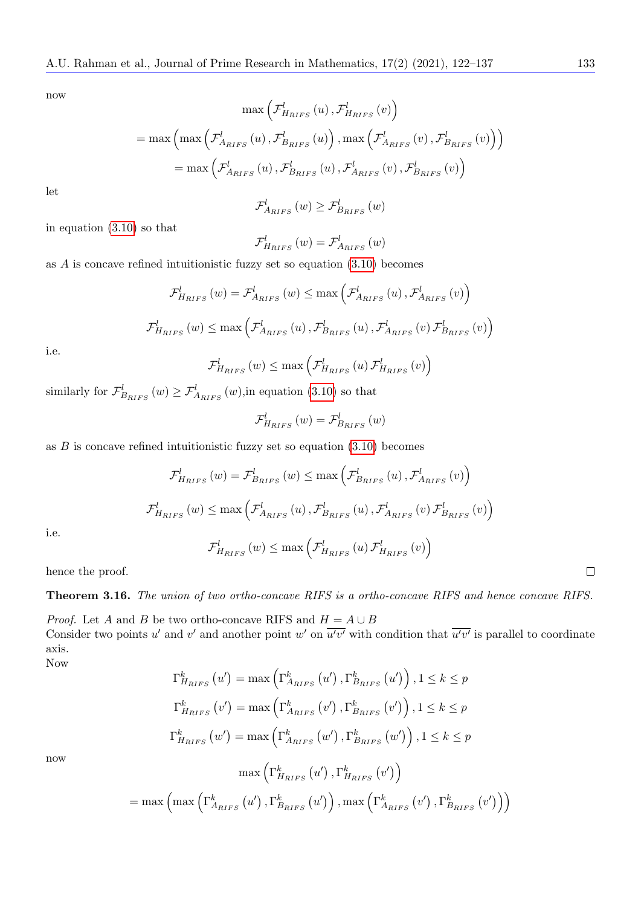now

$$
\max\left(\mathcal{F}_{H_{RIFS}}^{l}\left(u\right),\mathcal{F}_{H_{RIFS}}^{l}\left(v\right)\right)
$$
\n
$$
= \max\left(\max\left(\mathcal{F}_{A_{RIFS}}^{l}\left(u\right),\mathcal{F}_{B_{RIFS}}^{l}\left(u\right)\right),\max\left(\mathcal{F}_{A_{RIFS}}^{l}\left(v\right),\mathcal{F}_{B_{RIFS}}^{l}\left(v\right)\right)\right)
$$
\n
$$
= \max\left(\mathcal{F}_{A_{RIFS}}^{l}\left(u\right),\mathcal{F}_{B_{RIFS}}^{l}\left(u\right),\mathcal{F}_{A_{RIFS}}^{l}\left(v\right),\mathcal{F}_{B_{RIFS}}^{l}\left(v\right)\right)
$$

let

$$
\mathcal{F}_{A_{RIFS}}^{l}(w) \geq \mathcal{F}_{B_{RIFS}}^{l}(w)
$$

in equation [\(3.10\)](#page-10-1) so that

$$
\mathcal{F}_{H_{RIFS}}^{l}\left(w\right)=\mathcal{F}_{A_{RIFS}}^{l}\left(w\right)
$$

as  $A$  is concave refined intuitionistic fuzzy set so equation  $(3.10)$  becomes

$$
\mathcal{F}_{H_{RIFS}}^{l}(w) = \mathcal{F}_{A_{RIFS}}^{l}(w) \le \max\left(\mathcal{F}_{A_{RIFS}}^{l}(u), \mathcal{F}_{A_{RIFS}}^{l}(v)\right)
$$

$$
\mathcal{F}_{H_{RIFS}}^{l}(w) \le \max\left(\mathcal{F}_{A_{RIFS}}^{l}(u), \mathcal{F}_{B_{RIFS}}^{l}(u), \mathcal{F}_{A_{RIFS}}^{l}(v)\mathcal{F}_{B_{RIFS}}^{l}(v)\right)
$$

i.e.

$$
\mathcal{F}_{H_{RIFS}}^{l}\left(w\right) \leq \max\left(\mathcal{F}_{H_{RIFS}}^{l}\left(u\right)\mathcal{F}_{H_{RIFS}}^{l}\left(v\right)\right)
$$

similarly for  $\mathcal{F}_{B_{RIFS}}^l(w) \geq \mathcal{F}_{A_{RIFS}}^l(w)$ , in equation [\(3.10\)](#page-10-1) so that

$$
\mathcal{F}_{H_{RIFS}}^{l}(w) = \mathcal{F}_{B_{RIFS}}^{l}(w)
$$

as  $B$  is concave refined intuitionistic fuzzy set so equation  $(3.10)$  becomes

$$
\mathcal{F}_{H_{RIFS}}^{l}(w) = \mathcal{F}_{B_{RIFS}}^{l}(w) \le \max\left(\mathcal{F}_{B_{RIFS}}^{l}(u), \mathcal{F}_{A_{RIFS}}^{l}(v)\right)
$$
  

$$
\mathcal{F}_{H_{RIFS}}^{l}(w) \le \max\left(\mathcal{F}_{A_{RIFS}}^{l}(u), \mathcal{F}_{B_{RIFS}}^{l}(u), \mathcal{F}_{A_{RIFS}}^{l}(v) \mathcal{F}_{B_{RIFS}}^{l}(v)\right)
$$
  

$$
\mathcal{F}_{H_{RIFS}}^{l}(w) \le \max\left(\mathcal{F}_{H_{RIFS}}^{l}(u) \mathcal{F}_{H_{RIFS}}^{l}(v)\right)
$$

i.e.

hence the proof.

Theorem 3.16. The union of two ortho-concave RIFS is a ortho-concave RIFS and hence concave RIFS.

*Proof.* Let A and B be two ortho-concave RIFS and  $H = A \cup B$ Consider two points u' and v' and another point w' on  $\overline{u'v'}$  with condition that  $\overline{u'v'}$  is parallel to coordinate axis.

Now

$$
\Gamma_{H_{RIFS}}^{k}(u') = \max\left(\Gamma_{A_{RIFS}}^{k}(u'), \Gamma_{B_{RIFS}}^{k}(u')\right), 1 \le k \le p
$$
\n
$$
\Gamma_{H_{RIFS}}^{k}(v') = \max\left(\Gamma_{A_{RIFS}}^{k}(v'), \Gamma_{B_{RIFS}}^{k}(v')\right), 1 \le k \le p
$$
\n
$$
\Gamma_{H_{RIFS}}^{k}(w') = \max\left(\Gamma_{A_{RIFS}}^{k}(w'), \Gamma_{B_{RIFS}}^{k}(w')\right), 1 \le k \le p
$$
\n
$$
\max\left(\Gamma_{H_{RIFS}}^{k}(u'), \Gamma_{H_{RIFS}}^{k}(v')\right)
$$
\n
$$
= \max\left(\max\left(\Gamma_{A_{RIFS}}^{k}(u'), \Gamma_{B_{RIFS}}^{k}(u')\right), \max\left(\Gamma_{A_{RIFS}}^{k}(v'), \Gamma_{B_{RIFS}}^{k}(v')\right)\right)
$$

now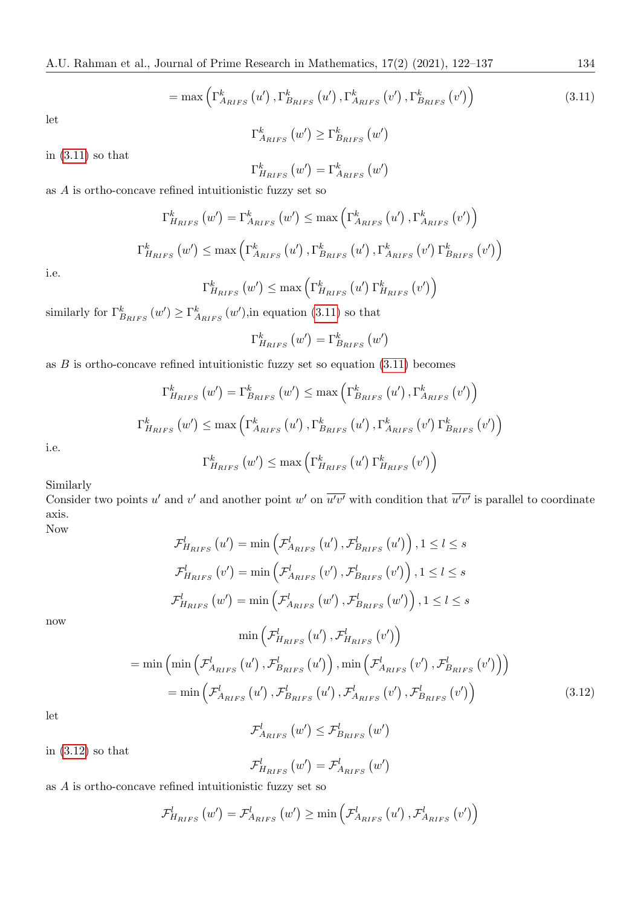<span id="page-12-0"></span>
$$
= \max\left(\Gamma_{A_{RIFS}}^{k}\left(u'\right),\Gamma_{B_{RIFS}}^{k}\left(u'\right),\Gamma_{A_{RIFS}}^{k}\left(v'\right),\Gamma_{B_{RIFS}}^{k}\left(v'\right)\right) \tag{3.11}
$$

let

$$
\Gamma^k_{A_{RIFS}}(w') \geq \Gamma^k_{B_{RIFS}}(w')
$$

in  $(3.11)$  so that

$$
\Gamma_{H_{RIFS}}^{k}\left(w^{\prime}\right)=\Gamma_{A_{RIFS}}^{k}\left(w^{\prime}\right)
$$

as  $A$  is ortho-concave refined intuitionistic fuzzy set so

$$
\Gamma_{H_{RIFS}}^{k}(w') = \Gamma_{A_{RIFS}}^{k}(w') \le \max\left(\Gamma_{A_{RIFS}}^{k}(u'), \Gamma_{A_{RIFS}}^{k}(v')\right)
$$

$$
\Gamma_{H_{RIFS}}^{k}(w') \le \max\left(\Gamma_{A_{RIFS}}^{k}(u'), \Gamma_{B_{RIFS}}^{k}(u'), \Gamma_{A_{RIFS}}^{k}(v')\Gamma_{B_{RIFS}}^{k}(v')\right)
$$

i.e.

$$
\Gamma_{H_{RIFS}}^{k}(w') \leq \max\left(\Gamma_{H_{RIFS}}^{k}(u')\Gamma_{H_{RIFS}}^{k}(v')\right)
$$

similarly for  $\Gamma^k_{B_{RIFS}}(w') \geq \Gamma^k_{A_{RIFS}}(w')$ , in equation [\(3.11\)](#page-12-0) so that

$$
\Gamma_{H_{RIFS}}^{k}\left(w^{\prime}\right)=\Gamma_{B_{RIFS}}^{k}\left(w^{\prime}\right)
$$

as  $B$  is ortho-concave refined intuitionistic fuzzy set so equation  $(3.11)$  becomes

$$
\Gamma_{H_{RIFS}}^{k}(w') = \Gamma_{B_{RIFS}}^{k}(w') \le \max\left(\Gamma_{B_{RIFS}}^{k}(u'), \Gamma_{A_{RIFS}}^{k}(v')\right)
$$
  

$$
\Gamma_{H_{RIFS}}^{k}(w') \le \max\left(\Gamma_{A_{RIFS}}^{k}(u'), \Gamma_{B_{RIFS}}^{k}(u'), \Gamma_{A_{RIFS}}^{k}(v')\Gamma_{B_{RIFS}}^{k}(v')\right)
$$
  

$$
\Gamma_{H_{RIFS}}^{k}(w') \le \max\left(\Gamma_{H_{RIFS}}^{k}(u')\Gamma_{H_{RIFS}}^{k}(v')\right)
$$

i.e.

$$
\Gamma_{H_{RIFS}}^{k}(w') \le \max\left(\Gamma_{H_{RIFS}}^{k}(u')\,\Gamma_{H_{RIFS}}^{k}(v')
$$

Similarly

Consider two points u' and v' and another point w' on  $\overline{u'v'}$  with condition that  $\overline{u'v'}$  is parallel to coordinate axis.

Now

now

$$
\mathcal{F}_{H_{RIFS}}^{l}(u') = \min\left(\mathcal{F}_{A_{RIFS}}^{l}(u'), \mathcal{F}_{B_{RIFS}}^{l}(u')\right), 1 \leq l \leq s
$$
\n
$$
\mathcal{F}_{H_{RIFS}}^{l}(v') = \min\left(\mathcal{F}_{A_{RIFS}}^{l}(v'), \mathcal{F}_{B_{RIFS}}^{l}(v')\right), 1 \leq l \leq s
$$
\n
$$
\mathcal{F}_{H_{RIFS}}^{l}(w') = \min\left(\mathcal{F}_{A_{RIFS}}^{l}(w'), \mathcal{F}_{B_{RIFS}}^{l}(w')\right), 1 \leq l \leq s
$$
\n
$$
\min\left(\mathcal{F}_{H_{RIFS}}^{l}(u'), \mathcal{F}_{H_{RIFS}}^{l}(v')\right)
$$
\n
$$
= \min\left(\min\left(\mathcal{F}_{A_{RIFS}}^{l}(u'), \mathcal{F}_{B_{RIFS}}^{l}(u')\right), \min\left(\mathcal{F}_{A_{RIFS}}^{l}(v'), \mathcal{F}_{B_{RIFS}}^{l}(v')\right)\right)
$$
\n
$$
= \min\left(\mathcal{F}_{A_{RIFS}}^{l}(u'), \mathcal{F}_{B_{RIFS}}^{l}(u'), \mathcal{F}_{A_{RIFS}}^{l}(v'), \mathcal{F}_{B_{RIFS}}^{l}(v')\right)
$$
\n(3.12)

let

$$
\mathcal{F}_{A_{RIFS}}^{l}\left(w'\right) \leq \mathcal{F}_{B_{RIFS}}^{l}\left(w'\right)
$$

<span id="page-12-1"></span>F

in  $(3.12)$  so that

$$
\mathcal{F}_{H_{RIFS}}^{l} (w') = \mathcal{F}_{A_{RIFS}}^{l} (w')
$$

as A is ortho-concave refined intuitionistic fuzzy set so

$$
\mathcal{F}_{H_{RIFS}}^{l}(w') = \mathcal{F}_{A_{RIFS}}^{l}(w') \ge \min\left(\mathcal{F}_{A_{RIFS}}^{l}(u'), \mathcal{F}_{A_{RIFS}}^{l}(v')\right)
$$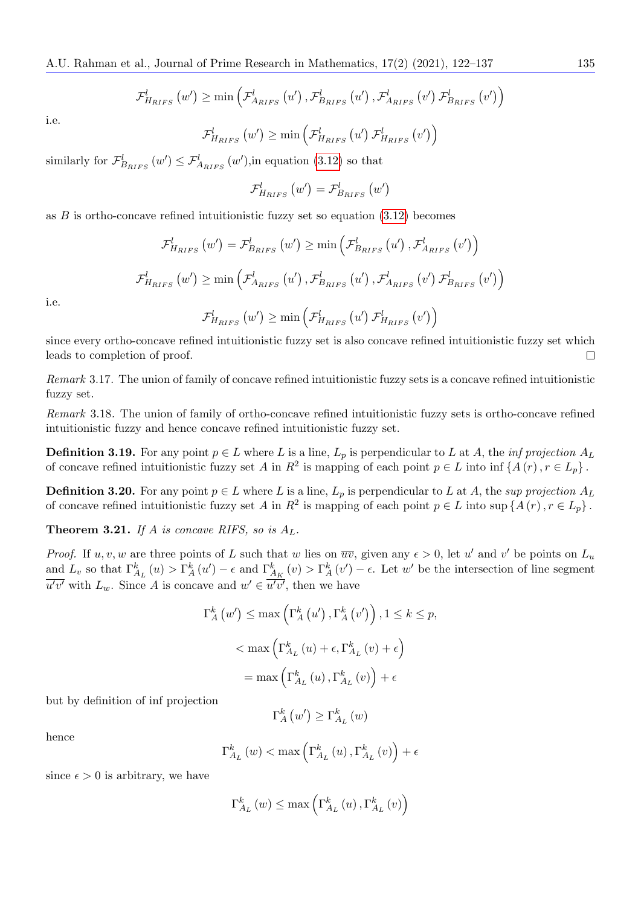$$
\mathcal{F}_{H_{RIFS}}^{l}(w') \geq \min\left(\mathcal{F}_{A_{RIFS}}^{l}(u'), \mathcal{F}_{B_{RIFS}}^{l}(u'), \mathcal{F}_{A_{RIFS}}^{l}(v') \mathcal{F}_{B_{RIFS}}^{l}(v')\right)
$$

i.e.

$$
\mathcal{F}_{H_{RIFS}}^{l}\left(w'\right) \geq \min\left(\mathcal{F}_{H_{RIFS}}^{l}\left(u'\right)\mathcal{F}_{H_{RIFS}}^{l}\left(v'\right)\right)
$$

similarly for  $\mathcal{F}_{B_{RIFS}}^l(w') \leq \mathcal{F}_{A_{RIFS}}^l(w')$ , in equation [\(3.12\)](#page-12-1) so that

$$
\mathcal{F}_{H_{RIFS}}^{l}\left(w'\right)=\mathcal{F}_{B_{RIFS}}^{l}\left(w'\right)
$$

as  $B$  is ortho-concave refined intuitionistic fuzzy set so equation  $(3.12)$  becomes

$$
\mathcal{F}_{H_{RIFS}}^{l}(w') = \mathcal{F}_{B_{RIFS}}^{l}(w') \ge \min\left(\mathcal{F}_{B_{RIFS}}^{l}(u'), \mathcal{F}_{A_{RIFS}}^{l}(v')\right)
$$

$$
\mathcal{F}_{H_{RIFS}}^{l}(w') \ge \min\left(\mathcal{F}_{A_{RIFS}}^{l}(u'), \mathcal{F}_{B_{RIFS}}^{l}(u'), \mathcal{F}_{A_{RIFS}}^{l}(v')\mathcal{F}_{B_{RIFS}}^{l}(v')\right)
$$

i.e.

$$
\mathcal{F}_{H_{RIFS}}^{l}\left(w'\right) \geq \min\left(\mathcal{F}_{H_{RIFS}}^{l}\left(u'\right) \mathcal{F}_{H_{RIFS}}^{l}\left(v'\right)\right)
$$

since every ortho-concave refined intuitionistic fuzzy set is also concave refined intuitionistic fuzzy set which leads to completion of proof.  $\Box$ 

Remark 3.17. The union of family of concave refined intuitionistic fuzzy sets is a concave refined intuitionistic fuzzy set.

Remark 3.18. The union of family of ortho-concave refined intuitionistic fuzzy sets is ortho-concave refined intuitionistic fuzzy and hence concave refined intuitionistic fuzzy set.

**Definition 3.19.** For any point  $p \in L$  where L is a line,  $L_p$  is perpendicular to L at A, the *inf projection*  $A_L$ of concave refined intuitionistic fuzzy set A in  $R^2$  is mapping of each point  $p \in L$  into inf  $\{A(r), r \in L_p\}$ .

**Definition 3.20.** For any point  $p \in L$  where L is a line,  $L_p$  is perpendicular to L at A, the sup projection  $A_L$ of concave refined intuitionistic fuzzy set A in  $R^2$  is mapping of each point  $p \in L$  into sup  $\{A(r), r \in L_p\}$ .

**Theorem 3.21.** If A is concave RIFS, so is  $A_L$ .

*Proof.* If  $u, v, w$  are three points of L such that w lies on  $\overline{uv}$ , given any  $\epsilon > 0$ , let u' and v' be points on  $L_u$ and  $L_v$  so that  $\Gamma_{A_L}^k(u) > \Gamma_A^k(u') - \epsilon$  and  $\Gamma_{A_K}^k(v) > \Gamma_A^k(v') - \epsilon$ . Let w' be the intersection of line segment  $\overline{u'v'}$  with  $L_w$ . Since A is concave and  $w' \in \overline{u'v'}$ , then we have

$$
\Gamma_{A}^{k}(w') \leq \max\left(\Gamma_{A}^{k}(u'), \Gamma_{A}^{k}(v')\right), 1 \leq k \leq p,
$$
  

$$
< \max\left(\Gamma_{A_{L}}^{k}(u) + \epsilon, \Gamma_{A_{L}}^{k}(v) + \epsilon\right)
$$
  

$$
= \max\left(\Gamma_{A_{L}}^{k}(u), \Gamma_{A_{L}}^{k}(v)\right) + \epsilon
$$

but by definition of inf projection

 $\Gamma_{A}^{k}\left (w^{\prime}\right ) \geq \Gamma_{A_{L}}^{k}\left (w\right )$ 

hence

$$
\Gamma_{A_{L}}^{k}\left(w\right)<\max\left(\Gamma_{A_{L}}^{k}\left(u\right),\Gamma_{A_{L}}^{k}\left(v\right)\right)+\epsilon
$$

since  $\epsilon > 0$  is arbitrary, we have

$$
\Gamma_{A_{L}}^{k}\left(w\right)\leq\max\left(\Gamma_{A_{L}}^{k}\left(u\right),\Gamma_{A_{L}}^{k}\left(v\right)\right)
$$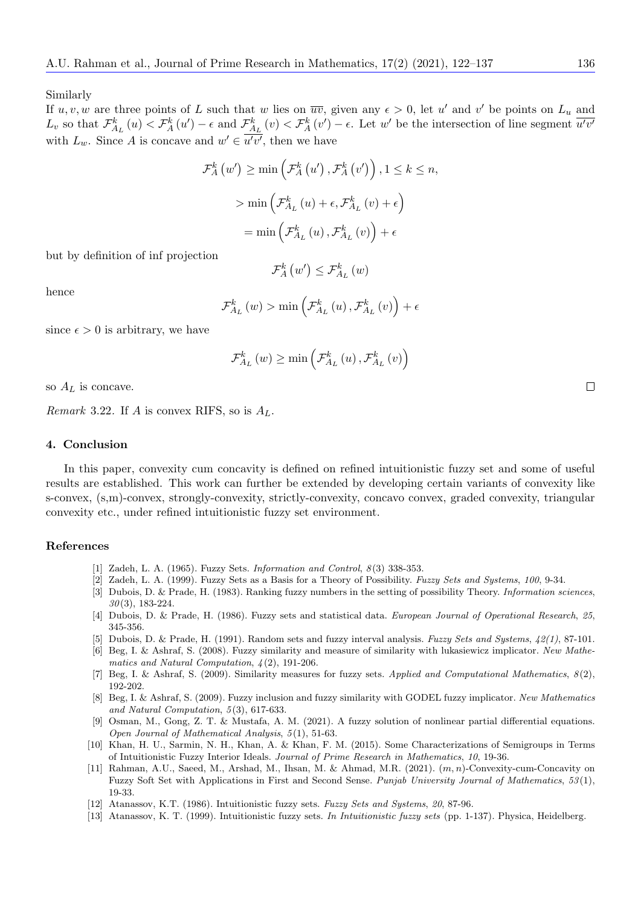Similarly

If  $u, v, w$  are three points of L such that w lies on  $\overline{uv}$ , given any  $\epsilon > 0$ , let u' and v' be points on  $L_u$  and  $L_v$  so that  $\mathcal{F}_{A_L}^k(u) < \mathcal{F}_{A}^k(u') - \epsilon$  and  $\mathcal{F}_{A_L}^k(v) < \mathcal{F}_{A}^k(v') - \epsilon$ . Let w' be the intersection of line segment  $\overline{u'v'}$ with  $L_w$ . Since A is concave and  $w' \in \overline{u'v'}$ , then we have

$$
\mathcal{F}_{A}^{k}(w') \ge \min\left(\mathcal{F}_{A}^{k}(u'), \mathcal{F}_{A}^{k}(v')\right), 1 \le k \le n,
$$

$$
> \min\left(\mathcal{F}_{A_{L}}^{k}(u) + \epsilon, \mathcal{F}_{A_{L}}^{k}(v) + \epsilon\right)
$$

$$
= \min\left(\mathcal{F}_{A_{L}}^{k}(u), \mathcal{F}_{A_{L}}^{k}(v)\right) + \epsilon
$$

but by definition of inf projection

$$
\mathcal{F}_{A}^{k}\left(w'\right)\leq\mathcal{F}_{A_{L}}^{k}\left(w\right)
$$

hence

$$
\mathcal{F}_{A_L}^{k}(w) > \min\left(\mathcal{F}_{A_L}^{k}(u), \mathcal{F}_{A_L}^{k}(v)\right) + \epsilon
$$

since  $\epsilon > 0$  is arbitrary, we have

$$
\mathcal{F}_{A_{L}}^{k}(w) \ge \min\left(\mathcal{F}_{A_{L}}^{k}(u), \mathcal{F}_{A_{L}}^{k}(v)\right)
$$

so  $A_L$  is concave.

*Remark* 3.22. If A is convex RIFS, so is  $A_L$ .

#### 4. Conclusion

In this paper, convexity cum concavity is defined on refined intuitionistic fuzzy set and some of useful results are established. This work can further be extended by developing certain variants of convexity like s-convex, (s,m)-convex, strongly-convexity, strictly-convexity, concavo convex, graded convexity, triangular convexity etc., under refined intuitionistic fuzzy set environment.

#### References

- <span id="page-14-0"></span>[1] Zadeh, L. A. (1965). Fuzzy Sets. *Information and Control*,  $8(3)$  338-353.
- <span id="page-14-1"></span>[2] Zadeh, L. A. (1999). Fuzzy Sets as a Basis for a Theory of Possibility. Fuzzy Sets and Systems, 100, 9-34.
- <span id="page-14-4"></span>[3] Dubois, D. & Prade, H. (1983). Ranking fuzzy numbers in the setting of possibility Theory. *Information sciences*,  $30(3)$ , 183-224.
- <span id="page-14-2"></span>[4] Dubois, D. & Prade, H. (1986). Fuzzy sets and statistical data. European Journal of Operational Research, 25, 345-356.
- <span id="page-14-3"></span>[5] Dubois, D. & Prade, H. (1991). Random sets and fuzzy interval analysis. Fuzzy Sets and Systems,  $\frac{1}{2}(1)$ , 87-101.
- <span id="page-14-5"></span>[6] Beg, I. & Ashraf, S. (2008). Fuzzy similarity and measure of similarity with lukasiewicz implicator. New Mathematics and Natural Computation, 4 (2), 191-206.
- <span id="page-14-6"></span>[7] Beg, I. & Ashraf, S. (2009). Similarity measures for fuzzy sets. Applied and Computational Mathematics, 8 (2), 192-202.
- <span id="page-14-7"></span>[8] Beg, I. & Ashraf, S. (2009). Fuzzy inclusion and fuzzy similarity with GODEL fuzzy implicator. New Mathematics and Natural Computation,  $5(3)$ , 617-633.
- <span id="page-14-8"></span>[9] Osman, M., Gong, Z. T. & Mustafa, A. M. (2021). A fuzzy solution of nonlinear partial differential equations. Open Journal of Mathematical Analysis, 5 (1), 51-63.
- <span id="page-14-9"></span>[10] Khan, H. U., Sarmin, N. H., Khan, A. & Khan, F. M. (2015). Some Characterizations of Semigroups in Terms of Intuitionistic Fuzzy Interior Ideals. Journal of Prime Research in Mathematics, 10, 19-36.
- <span id="page-14-10"></span>[11] Rahman, A.U., Saeed, M., Arshad, M., Ihsan, M. & Ahmad, M.R. (2021). (m, n)-Convexity-cum-Concavity on Fuzzy Soft Set with Applications in First and Second Sense. Punjab University Journal of Mathematics, 53 (1), 19-33.
- <span id="page-14-11"></span>[12] Atanassov, K.T. (1986). Intuitionistic fuzzy sets. Fuzzy Sets and Systems, 20, 87-96.
- <span id="page-14-12"></span>[13] Atanassov, K. T. (1999). Intuitionistic fuzzy sets. In Intuitionistic fuzzy sets (pp. 1-137). Physica, Heidelberg.